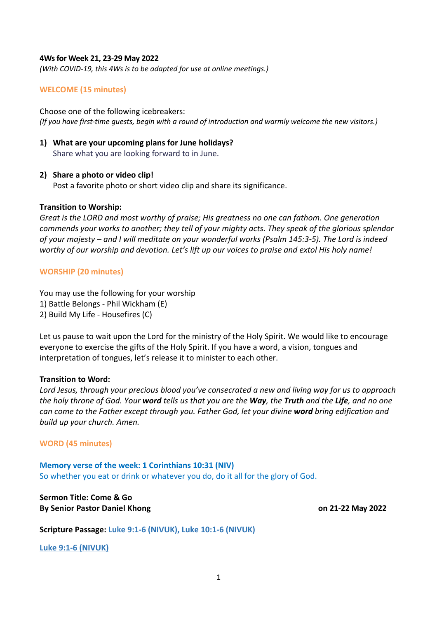### **4Ws for Week 21, 23-29 May 2022**

*(With COVID-19, this 4Ws is to be adapted for use at online meetings.)*

## **WELCOME (15 minutes)**

Choose one of the following icebreakers: *(If you have first-time guests, begin with a round of introduction and warmly welcome the new visitors.)*

#### **1) What are your upcoming plans for June holidays?**

Share what you are looking forward to in June.

#### **2) Share a photo or video clip!**

Post a favorite photo or short video clip and share its significance.

### **Transition to Worship:**

*Great is the LORD and most worthy of praise; His greatness no one can fathom. One generation commends your works to another; they tell of your mighty acts. They speak of the glorious splendor of your majesty – and I will meditate on your wonderful works (Psalm 145:3-5). The Lord is indeed worthy of our worship and devotion. Let's lift up our voices to praise and extol His holy name!*

### **WORSHIP (20 minutes)**

You may use the following for your worship 1) Battle Belongs - Phil Wickham (E) 2) Build My Life - Housefires (C)

Let us pause to wait upon the Lord for the ministry of the Holy Spirit. We would like to encourage everyone to exercise the gifts of the Holy Spirit. If you have a word, a vision, tongues and interpretation of tongues, let's release it to minister to each other.

#### **Transition to Word:**

*Lord Jesus, through your precious blood you've consecrated a new and living way for us to approach the holy throne of God. Your word tells us that you are the Way, the Truth and the Life, and no one can come to the Father except through you. Father God, let your divine word bring edification and build up your church. Amen.*

#### **WORD (45 minutes)**

**Memory verse of the week: 1 Corinthians 10:31 (NIV)** So whether you eat or drink or whatever you do, do it all for the glory of God.

**Sermon Title: Come & Go By Senior Pastor Daniel Khong on 21-22 May 2022**

**Scripture Passage: Luke 9:1-6 (NIVUK), Luke 10:1-6 (NIVUK)**

**Luke 9:1-6 (NIVUK)**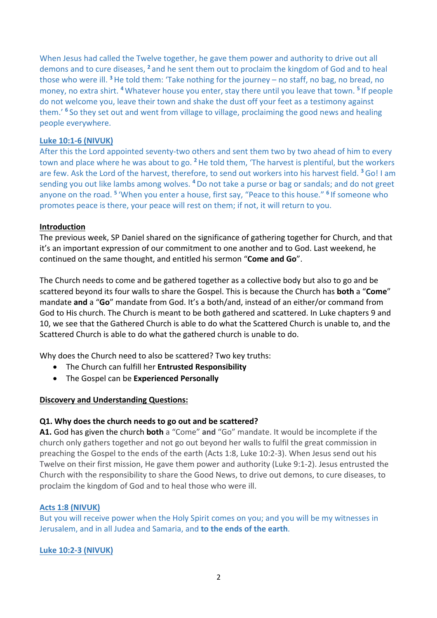When Jesus had called the Twelve together, he gave them power and authority to drive out all demons and to cure diseases, **<sup>2</sup>** and he sent them out to proclaim the kingdom of God and to heal those who were ill. **<sup>3</sup>**He told them: 'Take nothing for the journey – no staff, no bag, no bread, no money, no extra shirt. **<sup>4</sup>** Whatever house you enter, stay there until you leave that town. **<sup>5</sup>** If people do not welcome you, leave their town and shake the dust off your feet as a testimony against them.' **<sup>6</sup>** So they set out and went from village to village, proclaiming the good news and healing people everywhere.

## **Luke 10:1-6 (NIVUK)**

After this the Lord appointed seventy-two others and sent them two by two ahead of him to every town and place where he was about to go. **<sup>2</sup>**He told them, 'The harvest is plentiful, but the workers are few. Ask the Lord of the harvest, therefore, to send out workers into his harvest field. **<sup>3</sup>**Go! I am sending you out like lambs among wolves. **<sup>4</sup>** Do not take a purse or bag or sandals; and do not greet anyone on the road. **<sup>5</sup>** 'When you enter a house, first say, "Peace to this house." **<sup>6</sup>** If someone who promotes peace is there, your peace will rest on them; if not, it will return to you.

### **Introduction**

The previous week, SP Daniel shared on the significance of gathering together for Church, and that it's an important expression of our commitment to one another and to God. Last weekend, he continued on the same thought, and entitled his sermon "**Come and Go**".

The Church needs to come and be gathered together as a collective body but also to go and be scattered beyond its four walls to share the Gospel. This is because the Church has **both** a "**Come**" mandate **and** a "**Go**" mandate from God. It's a both/and, instead of an either/or command from God to His church. The Church is meant to be both gathered and scattered. In Luke chapters 9 and 10, we see that the Gathered Church is able to do what the Scattered Church is unable to, and the Scattered Church is able to do what the gathered church is unable to do.

Why does the Church need to also be scattered? Two key truths:

- The Church can fulfill her **Entrusted Responsibility**
- The Gospel can be **Experienced Personally**

## **Discovery and Understanding Questions:**

## **Q1. Why does the church needs to go out and be scattered?**

**A1.** God has given the church **both** a "Come" **and** "Go" mandate. It would be incomplete if the church only gathers together and not go out beyond her walls to fulfil the great commission in preaching the Gospel to the ends of the earth (Acts 1:8, Luke 10:2-3). When Jesus send out his Twelve on their first mission, He gave them power and authority (Luke 9:1-2). Jesus entrusted the Church with the responsibility to share the Good News, to drive out demons, to cure diseases, to proclaim the kingdom of God and to heal those who were ill.

## **Acts 1:8 (NIVUK)**

But you will receive power when the Holy Spirit comes on you; and you will be my witnesses in Jerusalem, and in all Judea and Samaria, and **to the ends of the earth**.

**Luke 10:2-3 (NIVUK)**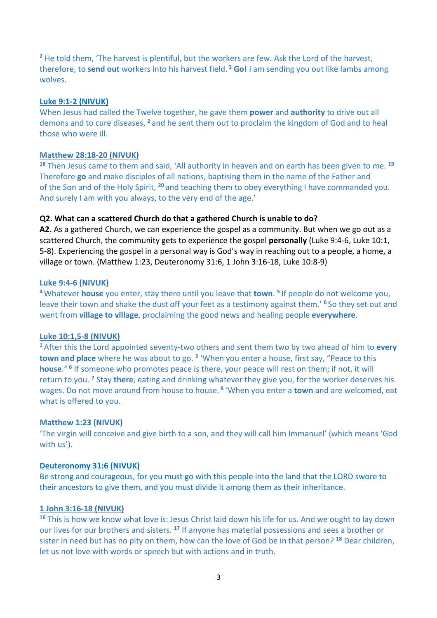**<sup>2</sup>** He told them, 'The harvest is plentiful, but the workers are few. Ask the Lord of the harvest, therefore, to **send out** workers into his harvest field. **<sup>3</sup> Go!** I am sending you out like lambs among wolves.

### **Luke 9:1-2 (NIVUK)**

When Jesus had called the Twelve together, he gave them **power** and **authority** to drive out all demons and to cure diseases, **<sup>2</sup>** and he sent them out to proclaim the kingdom of God and to heal those who were ill.

## **Matthew 28:18-20 (NIVUK)**

**<sup>18</sup>** Then Jesus came to them and said, 'All authority in heaven and on earth has been given to me. **<sup>19</sup>** Therefore **go** and make disciples of all nations, baptising them in the name of the Father and of the Son and of the Holy Spirit, **<sup>20</sup>** and teaching them to obey everything I have commanded you. And surely I am with you always, to the very end of the age.'

## **Q2. What can a scattered Church do that a gathered Church is unable to do?**

**A2.** As a gathered Church, we can experience the gospel as a community. But when we go out as a scattered Church, the community gets to experience the gospel **personally** (Luke 9:4-6, Luke 10:1, 5-8). Experiencing the gospel in a personal way is God's way in reaching out to a people, a home, a village or town. (Matthew 1:23, Deuteronomy 31:6, 1 John 3:16-18, Luke 10:8-9)

## **Luke 9:4-6 (NIVUK)**

**<sup>4</sup>** Whatever **house** you enter, stay there until you leave that **town**. **<sup>5</sup>** If people do not welcome you, leave their town and shake the dust off your feet as a testimony against them.' **<sup>6</sup>** So they set out and went from **village to village**, proclaiming the good news and healing people **everywhere**.

#### **Luke 10:1,5-8 (NIVUK)**

**<sup>1</sup>** After this the Lord appointed seventy-two others and sent them two by two ahead of him to **every town and place** where he was about to go. **<sup>5</sup>** 'When you enter a house, first say, "Peace to this **house**." **<sup>6</sup>** If someone who promotes peace is there, your peace will rest on them; if not, it will return to you. **<sup>7</sup>** Stay **there**, eating and drinking whatever they give you, for the worker deserves his wages. Do not move around from house to house. **<sup>8</sup>** 'When you enter a **town** and are welcomed, eat what is offered to you.

#### **Matthew 1:23 (NIVUK)**

'The virgin will conceive and give birth to a son, and they will call him Immanuel' (which means 'God with us').

#### **Deuteronomy 31:6 (NIVUK)**

Be strong and courageous, for you must go with this people into the land that the LORD swore to their ancestors to give them, and you must divide it among them as their inheritance.

#### **1 John 3:16-18 (NIVUK)**

**<sup>16</sup>** This is how we know what love is: Jesus Christ laid down his life for us. And we ought to lay down our lives for our brothers and sisters. **<sup>17</sup>** If anyone has material possessions and sees a brother or sister in need but has no pity on them, how can the love of God be in that person? **<sup>18</sup>** Dear children, let us not love with words or speech but with actions and in truth.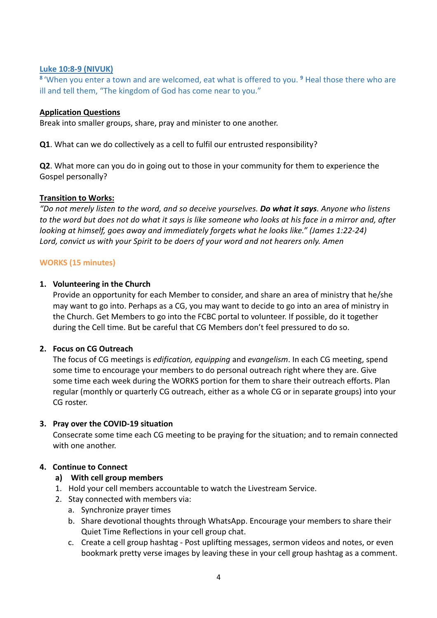## **Luke 10:8-9 (NIVUK)**

**<sup>8</sup>** 'When you enter a town and are welcomed, eat what is offered to you. **<sup>9</sup>** Heal those there who are ill and tell them, "The kingdom of God has come near to you."

## **Application Questions**

Break into smaller groups, share, pray and minister to one another.

**Q1**. What can we do collectively as a cell to fulfil our entrusted responsibility?

**Q2**. What more can you do in going out to those in your community for them to experience the Gospel personally?

## **Transition to Works:**

*"Do not merely listen to the word, and so deceive yourselves. Do what it says. Anyone who listens to the word but does not do what it says is like someone who looks at his face in a mirror and, after looking at himself, goes away and immediately forgets what he looks like." (James 1:22-24) Lord, convict us with your Spirit to be doers of your word and not hearers only. Amen*

## **WORKS (15 minutes)**

## **1. Volunteering in the Church**

Provide an opportunity for each Member to consider, and share an area of ministry that he/she may want to go into. Perhaps as a CG, you may want to decide to go into an area of ministry in the Church. Get Members to go into the FCBC portal to volunteer. If possible, do it together during the Cell time. But be careful that CG Members don't feel pressured to do so.

## **2. Focus on CG Outreach**

The focus of CG meetings is *edification, equipping* and *evangelism*. In each CG meeting, spend some time to encourage your members to do personal outreach right where they are. Give some time each week during the WORKS portion for them to share their outreach efforts. Plan regular (monthly or quarterly CG outreach, either as a whole CG or in separate groups) into your CG roster.

## **3. Pray over the COVID-19 situation**

Consecrate some time each CG meeting to be praying for the situation; and to remain connected with one another.

## **4. Continue to Connect**

# **a) With cell group members**

- 1. Hold your cell members accountable to watch the Livestream Service.
- 2. Stay connected with members via:
	- a. Synchronize prayer times
	- b. Share devotional thoughts through WhatsApp. Encourage your members to share their Quiet Time Reflections in your cell group chat.
	- c. Create a cell group hashtag Post uplifting messages, sermon videos and notes, or even bookmark pretty verse images by leaving these in your cell group hashtag as a comment.